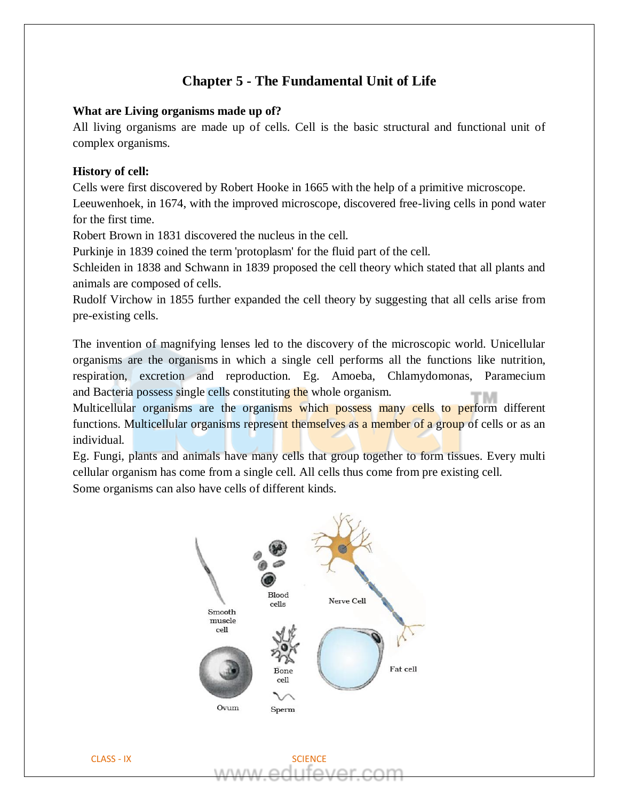# **Chapter 5 - The Fundamental Unit of Life**

### **What are Living organisms made up of?**

All living organisms are made up of cells. Cell is the basic structural and functional unit of complex organisms.

# **History of cell:**

Cells were first discovered by Robert Hooke in 1665 with the help of a primitive microscope. Leeuwenhoek, in 1674, with the improved microscope, discovered free-living cells in pond water for the first time.

Robert Brown in 1831 discovered the nucleus in the cell.

Purkinje in 1839 coined the term 'protoplasm' for the fluid part of the cell.

Schleiden in 1838 and Schwann in 1839 proposed the cell theory which stated that all plants and animals are composed of cells.

Rudolf Virchow in 1855 further expanded the cell theory by suggesting that all cells arise from pre-existing cells.

The invention of magnifying lenses led to the discovery of the microscopic world. Unicellular organisms are the organisms in which a single cell performs all the functions like nutrition, respiration, excretion and reproduction. Eg. Amoeba, Chlamydomonas, Paramecium and Bacteria possess single cells constituting the whole organism.

Multicellular organisms are the organisms which possess many cells to perform different functions. Multicellular organisms represent themselves as a member of a group of cells or as an individual.

Eg. Fungi, plants and animals have many cells that group together to form tissues. Every multi cellular organism has come from a single cell. All cells thus come from pre existing cell. Some organisms can also have cells of different kinds.

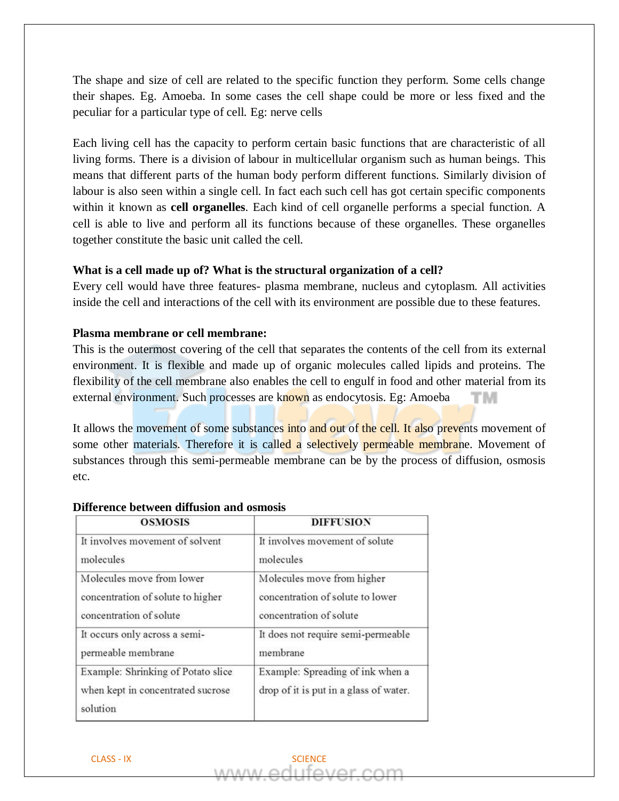The shape and size of cell are related to the specific function they perform. Some cells change their shapes. Eg. Amoeba. In some cases the cell shape could be more or less fixed and the peculiar for a particular type of cell. Eg: nerve cells

Each living cell has the capacity to perform certain basic functions that are characteristic of all living forms. There is a division of labour in multicellular organism such as human beings. This means that different parts of the human body perform different functions. Similarly division of labour is also seen within a single cell. In fact each such cell has got certain specific components within it known as **cell organelles**. Each kind of cell organelle performs a special function. A cell is able to live and perform all its functions because of these organelles. These organelles together constitute the basic unit called the cell.

# **What is a cell made up of? What is the structural organization of a cell?**

Every cell would have three features- plasma membrane, nucleus and cytoplasm. All activities inside the cell and interactions of the cell with its environment are possible due to these features.

# **Plasma membrane or cell membrane:**

This is the outermost covering of the cell that separates the contents of the cell from its external environment. It is flexible and made up of organic molecules called lipids and proteins. The flexibility of the cell membrane also enables the cell to engulf in food and other material from its external environment. Such processes are known as endocytosis. Eg: Amoeba тм

It allows the movement of some substances into and out of the cell. It also prevents movement of some other materials. Therefore it is called a selectively permeable membrane. Movement of substances through this semi-permeable membrane can be by the process of diffusion, osmosis etc.

| <b>OSMOSIS</b>                                                                      | <b>DIFFUSION</b>                                                           |
|-------------------------------------------------------------------------------------|----------------------------------------------------------------------------|
| It involves movement of solvent                                                     | It involves movement of solute                                             |
| molecules                                                                           | molecules                                                                  |
| Molecules move from lower                                                           | Molecules move from higher                                                 |
| concentration of solute to higher                                                   | concentration of solute to lower                                           |
| concentration of solute                                                             | concentration of solute                                                    |
| It occurs only across a semi-                                                       | It does not require semi-permeable                                         |
| permeable membrane                                                                  | membrane                                                                   |
| Example: Shrinking of Potato slice<br>when kept in concentrated sucrose<br>solution | Example: Spreading of ink when a<br>drop of it is put in a glass of water. |

# **Difference between diffusion and osmosis**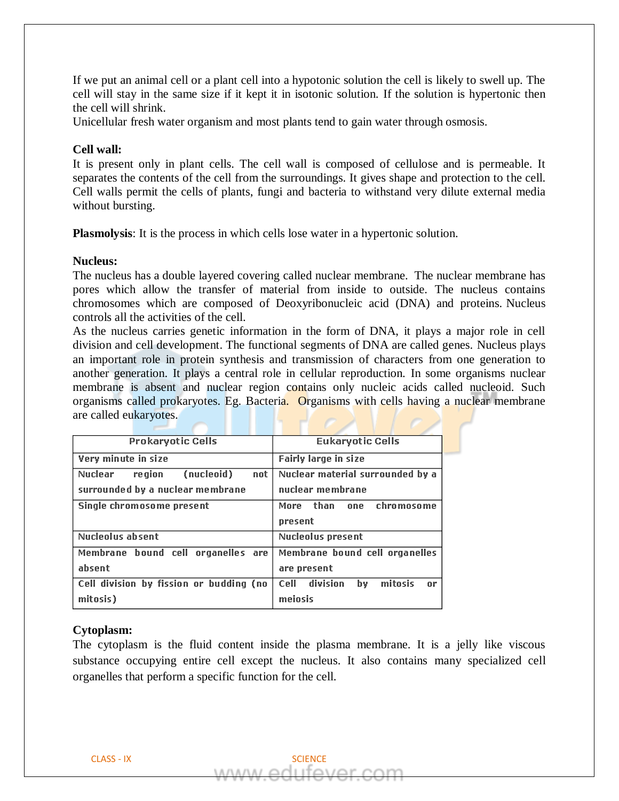If we put an animal cell or a plant cell into a hypotonic solution the cell is likely to swell up. The cell will stay in the same size if it kept it in isotonic solution. If the solution is hypertonic then the cell will shrink.

Unicellular fresh water organism and most plants tend to gain water through osmosis.

# **Cell wall:**

It is present only in plant cells. The cell wall is composed of cellulose and is permeable. It separates the contents of the cell from the surroundings. It gives shape and protection to the cell. Cell walls permit the cells of plants, fungi and bacteria to withstand very dilute external media without bursting.

**Plasmolysis**: It is the process in which cells lose water in a hypertonic solution.

# **Nucleus:**

The nucleus has a double layered covering called nuclear membrane. The nuclear membrane has pores which allow the transfer of material from inside to outside. The nucleus contains chromosomes which are composed of Deoxyribonucleic acid (DNA) and proteins. Nucleus controls all the activities of the cell.

As the nucleus carries genetic information in the form of DNA, it plays a major role in cell division and cell development. The functional segments of DNA are called genes. Nucleus plays an important role in protein synthesis and transmission of characters from one generation to another generation. It plays a central role in cellular reproduction. In some organisms nuclear membrane is absent and nuclear region contains only nucleic acids called nucleoid. Such organisms called prokaryotes. Eg. Bacteria. Organisms with cells having a nuclear membrane are called eukaryotes.

| <b>Prokaryotic Cells</b>                | <b>Eukaryotic Cells</b>                             |
|-----------------------------------------|-----------------------------------------------------|
| Very minute in size                     | <b>Fairly large in size</b>                         |
| (nucleoid)<br>Nuclear<br>re gion<br>not | Nuclear material surrounded by a                    |
| surrounded by a nuclear membrane        | nuclear membrane                                    |
| Single chromosome present               | than<br>chromosome<br>More<br>one                   |
|                                         | present                                             |
| Nucleolus absent                        | Nucleolus present                                   |
| Membrane bound cell organelles are      | Membrane bound cell organelles                      |
| absent                                  | are present                                         |
| Cell division by fission or budding (no | mitosis<br>division<br>Cell<br>bv<br>0 <sup>r</sup> |
| mitosis)                                | meiosis                                             |

# **Cytoplasm:**

The cytoplasm is the fluid content inside the plasma membrane. It is a jelly like viscous substance occupying entire cell except the nucleus. It also contains many specialized cell organelles that perform a specific function for the cell.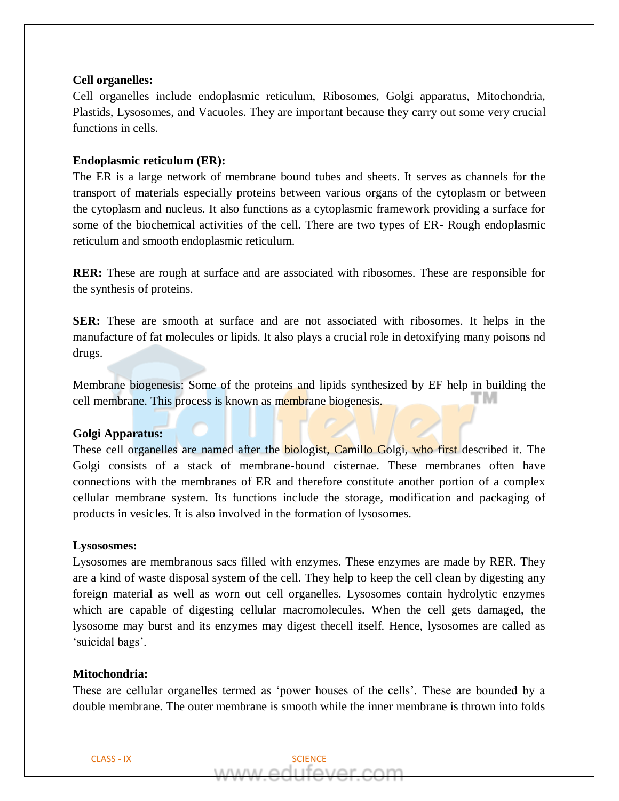#### **Cell organelles:**

Cell organelles include endoplasmic reticulum, Ribosomes, Golgi apparatus, Mitochondria, Plastids, Lysosomes, and Vacuoles. They are important because they carry out some very crucial functions in cells.

#### **Endoplasmic reticulum (ER):**

The ER is a large network of membrane bound tubes and sheets. It serves as channels for the transport of materials especially proteins between various organs of the cytoplasm or between the cytoplasm and nucleus. It also functions as a cytoplasmic framework providing a surface for some of the biochemical activities of the cell. There are two types of ER- Rough endoplasmic reticulum and smooth endoplasmic reticulum.

**RER:** These are rough at surface and are associated with ribosomes. These are responsible for the synthesis of proteins.

**SER:** These are smooth at surface and are not associated with ribosomes. It helps in the manufacture of fat molecules or lipids. It also plays a crucial role in detoxifying many poisons nd drugs.

Membrane biogenesis: Some of the proteins and lipids synthesized by EF help in building the M cell membrane. This process is known as membrane biogenesis.

### **Golgi Apparatus:**

These cell organelles are named after the biologist, Camillo Golgi, who first described it. The Golgi consists of a stack of membrane-bound cisternae. These membranes often have connections with the membranes of ER and therefore constitute another portion of a complex cellular membrane system. Its functions include the storage, modification and packaging of products in vesicles. It is also involved in the formation of lysosomes.

#### **Lysososmes:**

Lysosomes are membranous sacs filled with enzymes. These enzymes are made by RER. They are a kind of waste disposal system of the cell. They help to keep the cell clean by digesting any foreign material as well as worn out cell organelles. Lysosomes contain hydrolytic enzymes which are capable of digesting cellular macromolecules. When the cell gets damaged, the lysosome may burst and its enzymes may digest thecell itself. Hence, lysosomes are called as 'suicidal bags'.

#### **Mitochondria:**

These are cellular organelles termed as 'power houses of the cells'. These are bounded by a double membrane. The outer membrane is smooth while the inner membrane is thrown into folds